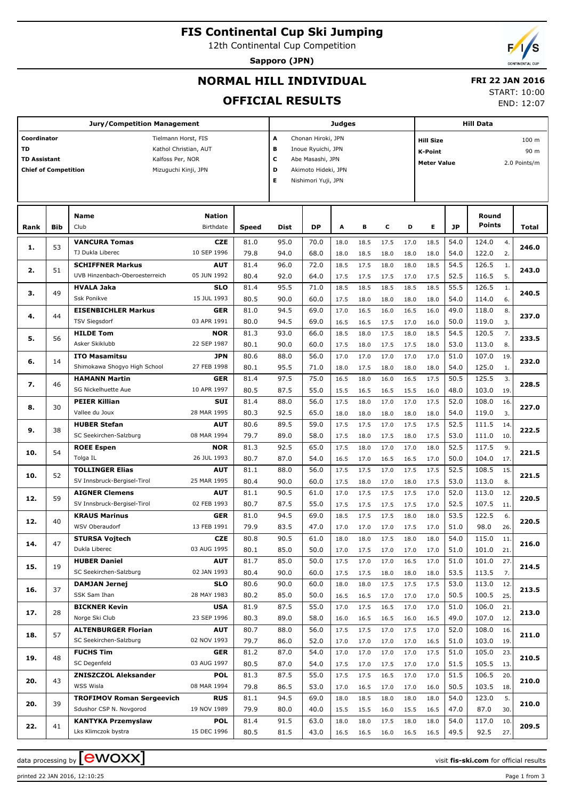# **FIS Continental Cup Ski Jumping**

12th Continental Cup Competition

**Sapporo (JPN)**



## **NORMAL HILL INDIVIDUAL**

### **FRI 22 JAN 2016** START: 10:00

END: 12:07

## **OFFICIAL RESULTS**

|                     |                                                     | <b>Jury/Competition Management</b>                 | Judges                    |              |                     |              |                     |              | <b>Hill Data</b>                     |              |              |              |                |            |       |
|---------------------|-----------------------------------------------------|----------------------------------------------------|---------------------------|--------------|---------------------|--------------|---------------------|--------------|--------------------------------------|--------------|--------------|--------------|----------------|------------|-------|
| Coordinator         |                                                     | Tielmann Horst, FIS                                | A<br>Chonan Hiroki, JPN   |              |                     |              |                     |              | 100 <sub>m</sub><br><b>Hill Size</b> |              |              |              |                |            |       |
| TD                  |                                                     | Kathol Christian, AUT                              | в<br>Inoue Ryuichi, JPN   |              |                     |              |                     |              | 90 m<br><b>K-Point</b>               |              |              |              |                |            |       |
| <b>TD Assistant</b> |                                                     | Kalfoss Per, NOR                                   | c<br>Abe Masashi, JPN     |              |                     |              |                     |              | <b>Meter Value</b><br>2.0 Points/m   |              |              |              |                |            |       |
|                     | <b>Chief of Competition</b><br>Mizuguchi Kinji, JPN |                                                    |                           |              |                     |              | Akimoto Hideki, JPN |              |                                      |              |              |              |                |            |       |
|                     |                                                     |                                                    |                           | E            | Nishimori Yuji, JPN |              |                     |              |                                      |              |              |              |                |            |       |
|                     |                                                     |                                                    |                           |              |                     |              |                     |              |                                      |              |              |              |                |            |       |
|                     |                                                     |                                                    |                           |              |                     |              |                     |              |                                      |              |              |              |                |            |       |
|                     |                                                     | <b>Name</b>                                        | <b>Nation</b>             |              |                     |              |                     |              |                                      |              |              |              | Round          |            |       |
| Rank                | Bib                                                 | Club                                               | Birthdate                 | Speed        | <b>Dist</b>         | <b>DP</b>    | A                   | в            | c                                    | D            | E            | <b>JP</b>    | Points         |            | Total |
| 1.                  | 53                                                  | <b>VANCURA Tomas</b>                               | CZE                       | 81.0         | 95.0                | 70.0         | 18.0                | 18.5         | 17.5                                 | 17.0         | 18.5         | 54.0         | 124.0          | 4.         | 246.0 |
|                     |                                                     | TJ Dukla Liberec                                   | 10 SEP 1996               | 79.8         | 94.0                | 68.0         | 18.0                | 18.5         | 18.0                                 | 18.0         | 18.0         | 54.0         | 122.0          | 2.         |       |
| 2.                  | 51                                                  | <b>SCHIFFNER Markus</b>                            | <b>AUT</b>                | 81.4         | 96.0                | 72.0         | 18.5                | 17.5         | 18.0                                 | 18.0         | 18.5         | 54.5         | 126.5          | 1.         | 243.0 |
|                     |                                                     | UVB Hinzenbach-Oberoesterreich                     | 05 JUN 1992               | 80.4         | 92.0                | 64.0         | 17.5                | 17.5         | 17.5                                 | 17.0         | 17.5         | 52.5         | 116.5          | 5.         |       |
| з.                  | 49                                                  | <b>HVALA Jaka</b>                                  | <b>SLO</b>                | 81.4         | 95.5                | 71.0         | 18.5                | 18.5         | 18.5                                 | 18.5         | 18.5         | 55.5         | 126.5          | 1.         | 240.5 |
|                     |                                                     | <b>Ssk Ponikve</b>                                 | 15 JUL 1993               | 80.5         | 90.0                | 60.0         | 17.5                | 18.0         | 18.0                                 | 18.0         | 18.0         | 54.0         | 114.0          | 6.         |       |
| 4.                  | 44                                                  | <b>EISENBICHLER Markus</b><br><b>TSV Siegsdorf</b> | <b>GER</b><br>03 APR 1991 | 81.0<br>80.0 | 94.5                | 69.0         | 17.0                | 16.5         | 16.0                                 | 16.5         | 16.0         | 49.0         | 118.0          | 8.         | 237.0 |
|                     |                                                     |                                                    |                           | 81.3         | 94.5<br>93.0        | 69.0<br>66.0 | 16.5                | 16.5         | 17.5                                 | 17.0         | 16.0         | 50.0<br>54.5 | 119.0<br>120.5 | 3.<br>7.   |       |
| 5.                  | 56                                                  | <b>HILDE Tom</b><br>Asker Skiklubb                 | <b>NOR</b><br>22 SEP 1987 | 80.1         | 90.0                | 60.0         | 18.5<br>17.5        | 18.0<br>18.0 | 17.5<br>17.5                         | 18.0<br>17.5 | 18.5<br>18.0 | 53.0         | 113.0          | 8.         | 233.5 |
|                     |                                                     | <b>ITO Masamitsu</b>                               | JPN                       | 80.6         | 88.0                | 56.0         | 17.0                | 17.0         | 17.0                                 | 17.0         | 17.0         | 51.0         | 107.0          | 19.        |       |
| 6.                  | 14                                                  | Shimokawa Shogyo High School                       | 27 FEB 1998               | 80.1         | 95.5                | 71.0         | 18.0                | 17.5         | 18.0                                 | 18.0         | 18.0         | 54.0         | 125.0          | 1.         | 232.0 |
|                     |                                                     | <b>HAMANN Martin</b>                               | <b>GER</b>                | 81.4         | 97.5                | 75.0         | 16.5                | 18.0         | 16.0                                 | 16.5         | 17.5         | 50.5         | 125.5          | 3.         |       |
| 7.                  | 46                                                  | SG Nickelhuette Aue                                | 10 APR 1997               | 80.5         | 87.5                | 55.0         | 15.5                | 16.5         | 16.5                                 | 15.5         | 16.0         | 48.0         | 103.0          | 19.        | 228.5 |
|                     |                                                     | <b>PEIER Killian</b>                               | SUI                       | 81.4         | 88.0                | 56.0         | 17.5                | 18.0         | 17.0                                 | 17.0         | 17.5         | 52.0         | 108.0          | 16.        |       |
| 8.                  | 30                                                  | Vallee du Joux                                     | 28 MAR 1995               | 80.3         | 92.5                | 65.0         | 18.0                | 18.0         | 18.0                                 | 18.0         | 18.0         | 54.0         | 119.0          | 3.         | 227.0 |
|                     |                                                     | <b>HUBER Stefan</b>                                | <b>AUT</b>                | 80.6         | 89.5                | 59.0         | 17.5                | 17.5         | 17.0                                 | 17.5         | 17.5         | 52.5         | 111.5          | 14         |       |
| 9.                  | 38                                                  | SC Seekirchen-Salzburg                             | 08 MAR 1994               | 79.7         | 89.0                | 58.0         | 17.5                | 18.0         | 17.5                                 | 18.0         | 17.5         | 53.0         | 111.0          | 10.        | 222.5 |
|                     |                                                     | <b>ROEE Espen</b>                                  | <b>NOR</b>                | 81.3         | 92.5                | 65.0         | 17.5                | 18.0         | 17.0                                 | 17.0         | 18.0         | 52.5         | 117.5          | 9.         |       |
| 10.                 | 54                                                  | Tolga IL                                           | 26 JUL 1993               | 80.7         | 87.0                | 54.0         | 16.5                | 17.0         | 16.5                                 | 16.5         | 17.0         | 50.0         | 104.0          | 17.        | 221.5 |
|                     |                                                     | <b>TOLLINGER Elias</b>                             | <b>AUT</b>                | 81.1         | 88.0                | 56.0         | 17.5                | 17.5         | 17.0                                 | 17.5         | 17.5         | 52.5         | 108.5          | 15.        |       |
| 10.                 | 52                                                  | SV Innsbruck-Bergisel-Tirol                        | 25 MAR 1995               | 80.4         | 90.0                | 60.0         | 17.5                | 18.0         | 17.0                                 | 18.0         | 17.5         | 53.0         | 113.0          | 8.         | 221.5 |
| 12.                 | 59                                                  | <b>AIGNER Clemens</b>                              | <b>AUT</b>                | 81.1         | 90.5                | 61.0         | 17.0                | 17.5         | 17.5                                 | 17.5         | 17.0         | 52.0         | 113.0          | 12.        | 220.5 |
|                     |                                                     | SV Innsbruck-Bergisel-Tirol                        | 02 FEB 1993               | 80.7         | 87.5                | 55.0         | 17.5                | 17.5         | 17.5                                 | 17.5         | 17.0         | 52.5         | 107.5          | 11.        |       |
| 12.                 | 40                                                  | <b>KRAUS Marinus</b>                               | GER                       | 81.0         | 94.5                | 69.0         | 18.5                | 17.5         | 17.5                                 | 18.0         | 18.0         | 53.5         | 122.5          | 6.         | 220.5 |
|                     |                                                     | WSV Oberaudorf                                     | 13 FEB 1991               | 79.9         | 83.5                | 47.0         | 17.0                | 17.0         | 17.0                                 | 17.5         | 17.0         | 51.0         | 98.0           | 26.        |       |
| 14.                 | 47                                                  | <b>STURSA Vojtech</b>                              | CZE                       | 80.8         | 90.5                | 61.0         | 18.0                | 18.0         | 17.5                                 | 18.0         | 18.0         | 54.0         | 115.0          | 11.        | 216.0 |
|                     |                                                     | Dukla Liberec                                      | 03 AUG 1995               | 80.1         | 85.0                | 50.0         | 17.0                | 17.5         | 17.0                                 | 17.0         | 17.0         | 51.0         | 101.0          | 21.        |       |
| 15.                 | 19                                                  | <b>HUBER Daniel</b>                                | <b>AUT</b>                | 81.7         | 85.0                | 50.0         | 17.5                | 17.0         | 17.0                                 | 16.5         | 17.0         | 51.0         | 101.0          | 27.        | 214.5 |
|                     |                                                     | SC Seekirchen-Salzburg                             | 02 JAN 1993               | 80.4         | 90.0                | 60.0         | 17.5                | 17.5         | 18.0                                 | 18.0         | 18.0         | 53.5         | 113.5          | 7.         |       |
| 16.                 | 37                                                  | <b>DAMJAN Jernej</b>                               | SLO                       | 80.6         | 90.0                | 60.0         | 18.0                | 18.0         | 17.5                                 | 17.5         | 17.5         | 53.0         | 113.0          | 12.        | 213.5 |
|                     |                                                     | SSK Sam Ihan                                       | 28 MAY 1983               | 80.2         | 85.0                | 50.0         | 16.5                | 16.5         | 17.0                                 | 17.0         | 17.0         | 50.5         | 100.5          | 25.        |       |
| 17.                 | 28                                                  | <b>BICKNER Kevin</b>                               | <b>USA</b><br>23 SEP 1996 | 81.9         | 87.5                | 55.0         | 17.0                | 17.5         | 16.5                                 | 17.0         | 17.0         | 51.0         | 106.0          | 21.        | 213.0 |
|                     |                                                     | Norge Ski Club<br><b>ALTENBURGER Florian</b>       |                           | 80.3         | 89.0                | 58.0         | 16.0                | 16.5         | 16.5                                 | 16.0         | 16.5         | 49.0         | 107.0          | 12.        |       |
| 18.                 | 57                                                  | SC Seekirchen-Salzburg                             | <b>AUT</b><br>02 NOV 1993 | 80.7<br>79.7 | 88.0<br>86.0        | 56.0<br>52.0 | 17.5                | 17.5         | 17.0                                 | 17.5         | 17.0<br>16.5 | 52.0<br>51.0 | 108.0<br>103.0 | 16.        | 211.0 |
|                     |                                                     | <b>FUCHS Tim</b>                                   | GER                       | 81.2         | 87.0                | 54.0         | 17.0<br>17.0        | 17.0<br>17.0 | 17.0<br>17.0                         | 17.0<br>17.0 | 17.5         | 51.0         | 105.0          | 19.<br>23. |       |
| 19.                 | 48                                                  | SC Degenfeld                                       | 03 AUG 1997               | 80.5         | 87.0                | 54.0         | 17.5                | 17.0         | 17.5                                 | 17.0         | 17.0         | 51.5         | 105.5          | 13.        | 210.5 |
|                     |                                                     | <b>ZNISZCZOL Aleksander</b>                        | POL                       | 81.3         | 87.5                | 55.0         | 17.5                | 17.5         | 16.5                                 | 17.0         | 17.0         | 51.5         | 106.5          | 20.        |       |
| 20.                 | 43                                                  | WSS Wisla                                          | 08 MAR 1994               | 79.8         | 86.5                | 53.0         | 17.0                | 16.5         | 17.0                                 | 17.0         | 16.0         | 50.5         | 103.5          | 18.        | 210.0 |
|                     |                                                     | <b>TROFIMOV Roman Sergeevich</b>                   | <b>RUS</b>                | 81.1         | 94.5                | 69.0         | 18.0                | 18.5         | 18.0                                 | 18.0         | 18.0         | 54.0         | 123.0          | 5.         |       |
| 20.                 | 39                                                  | Sdushor CSP N. Novgorod                            | 19 NOV 1989               | 79.9         | 80.0                | 40.0         | 15.5                | 15.5         | 16.0                                 | 15.5         | 16.5         | 47.0         | 87.0           | 30.        | 210.0 |
|                     |                                                     | <b>KANTYKA Przemyslaw</b>                          | POL                       | 81.4         | 91.5                | 63.0         | 18.0                | 18.0         | 17.5                                 | 18.0         | 18.0         | 54.0         | 117.0          | 10.        |       |
| 22.                 | 41                                                  | Lks Klimczok bystra                                | 15 DEC 1996               | 80.5         | 81.5                | 43.0         | 16.5                | 16.5         | 16.0                                 | 16.5         | 16.5         | 49.5         | 92.5           | 27.        | 209.5 |
|                     |                                                     |                                                    |                           |              |                     |              |                     |              |                                      |              |              |              |                |            |       |

data processing by **CWOXX**  $\blacksquare$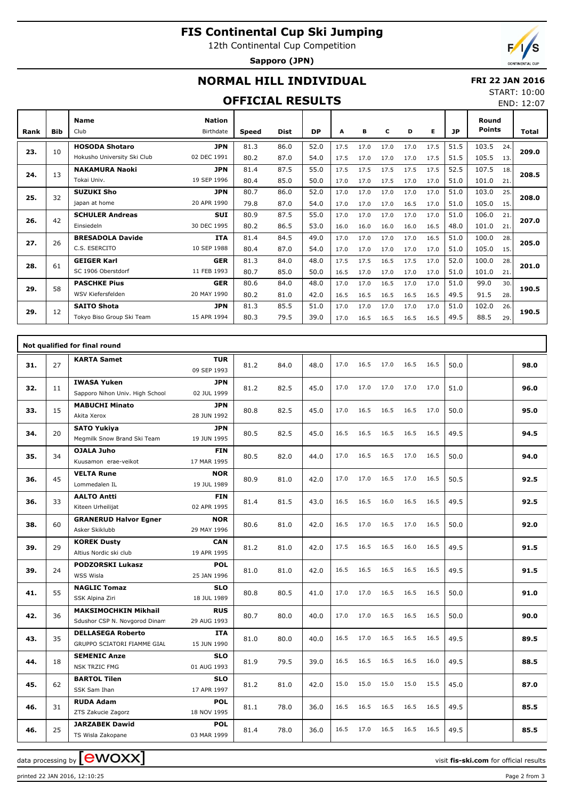### **FIS Continental Cup Ski Jumping**

12th Continental Cup Competition

**Sapporo (JPN)**



### **NORMAL HILL INDIVIDUAL**

#### **FRI 22 JAN 2016** START: 10:00

### **OFFICIAL RESULTS**

END: 12:07 **Bib Name** Club Birthdate **Nation Rank Speed Dist DP A B C D E JP Total Round Points HOSODA Shotaro** Hokusho University Ski Club **JPN** 02 DEC 1991 10 81.3 86.0 52.0 17.5 17.0 17.0 17.0 17.5 51.5 103.5 80.2 87.0 54.0 17.5 17.0 17.0 17.0 17.5 51.5 105.5 13. 24. **23. 209.0 NAKAMURA Naoki** Tokai Univ. **JPN** 19 SEP 1996 13 81.4 87.5 55.0 17.5 17.5 17.5 17.5 17.5 52.5 107.5 80.4 85.0 50.0 17.0 17.0 17.5 17.0 17.0 51.0 101.0 21. 18. **24. 208.5 SUZUKI Sho** japan at home **JPN** 20 APR 1990 32 80.7 86.0 52.0 17.0 17.0 17.0 17.0 17.0 51.0 103.0 79.8 87.0 54.0 17.0 17.0 17.0 16.5 17.0 51.0 105.0 15. 25. **25. 208.0 SCHULER Andreas** Einsiedeln **SUI** 30 DEC 1995 42 80.9 87.5 55.0 17.0 17.0 17.0 17.0 17.0 51.0 106.0 80.2 86.5 53.0 16.0 16.0 16.0 16.0 16.5 48.0 101.0 21. 21. **26. 207.0 BRESADOLA Davide** C.S. ESERCITO **ITA** 10 SEP 1988 26 81.4 84.5 49.0 17.0 17.0 17.0 17.0 16.5 51.0 100.0 80.4 87.0 54.0 17.0 17.0 17.0 17.0 17.0 51.0 105.0 15. 28. **27. 205.0 GEIGER Karl** SC 1906 Oberstdorf **GER** 11 FEB 1993 61 81.3 84.0 48.0 17.5 17.5 16.5 17.5 17.0 52.0 100.0 80.7 85.0 50.0 16.5 17.0 17.0 17.0 17.0 51.0 101.0 21. 28. **28. 201.0 PASCHKE Pius** WSV Kiefersfelden **GER** 20 MAY 1990 58 80.6 84.0 48.0 17.0 17.0 16.5 17.0 17.0 51.0 99.0 80.2 81.0 42.0 16.5 16.5 16.5 16.5 16.5 49.5 91.5 28. 30. **29. 190.5 SAITO Shota** Tokyo Biso Group Ski Team **JPN** 15 APR 1994 12 81.3 85.5 51.0 17.0 17.0 17.0 17.0 17.0 51.0 102.0 80.3 79.5 39.0 17.0 16.5 16.5 16.5 16.5 49.5 88.5 29. 26. **29. 190.5**

|     |    | Not qualified for final round                                |                           |      |      |      |      |      |      |      |      |      |      |
|-----|----|--------------------------------------------------------------|---------------------------|------|------|------|------|------|------|------|------|------|------|
| 31. | 27 | <b>KARTA Samet</b>                                           | <b>TUR</b><br>09 SEP 1993 | 81.2 | 84.0 | 48.0 | 17.0 | 16.5 | 17.0 | 16.5 | 16.5 | 50.0 | 98.0 |
| 32. | 11 | <b>IWASA Yuken</b><br>Sapporo Nihon Univ. High School        | <b>JPN</b><br>02 JUL 1999 | 81.2 | 82.5 | 45.0 | 17.0 | 17.0 | 17.0 | 17.0 | 17.0 | 51.0 | 96.0 |
| 33. | 15 | <b>MABUCHI Minato</b><br>Akita Xerox                         | <b>JPN</b><br>28 JUN 1992 | 80.8 | 82.5 | 45.0 | 17.0 | 16.5 | 16.5 | 16.5 | 17.0 | 50.0 | 95.0 |
| 34. | 20 | <b>SATO Yukiya</b><br>Megmilk Snow Brand Ski Team            | <b>JPN</b><br>19 JUN 1995 | 80.5 | 82.5 | 45.0 | 16.5 | 16.5 | 16.5 | 16.5 | 16.5 | 49.5 | 94.5 |
| 35. | 34 | <b>OJALA Juho</b><br>Kuusamon erae-veikot                    | <b>FIN</b><br>17 MAR 1995 | 80.5 | 82.0 | 44.0 | 17.0 | 16.5 | 16.5 | 17.0 | 16.5 | 50.0 | 94.0 |
| 36. | 45 | <b>VELTA Rune</b><br>Lommedalen IL                           | <b>NOR</b><br>19 JUL 1989 | 80.9 | 81.0 | 42.0 | 17.0 | 17.0 | 16.5 | 17.0 | 16.5 | 50.5 | 92.5 |
| 36. | 33 | <b>AALTO Antti</b><br>Kiteen Urheilijat                      | <b>FIN</b><br>02 APR 1995 | 81.4 | 81.5 | 43.0 | 16.5 | 16.5 | 16.0 | 16.5 | 16.5 | 49.5 | 92.5 |
| 38. | 60 | <b>GRANERUD Halvor Egner</b><br>Asker Skiklubb               | <b>NOR</b><br>29 MAY 1996 | 80.6 | 81.0 | 42.0 | 16.5 | 17.0 | 16.5 | 17.0 | 16.5 | 50.0 | 92.0 |
| 39. | 29 | <b>KOREK Dusty</b><br>Altius Nordic ski club                 | <b>CAN</b><br>19 APR 1995 | 81.2 | 81.0 | 42.0 | 17.5 | 16.5 | 16.5 | 16.0 | 16.5 | 49.5 | 91.5 |
| 39. | 24 | <b>PODZORSKI Lukasz</b><br>WSS Wisla                         | POL<br>25 JAN 1996        | 81.0 | 81.0 | 42.0 | 16.5 | 16.5 | 16.5 | 16.5 | 16.5 | 49.5 | 91.5 |
| 41. | 55 | <b>NAGLIC Tomaz</b><br>SSK Alpina Ziri                       | <b>SLO</b><br>18 JUL 1989 | 80.8 | 80.5 | 41.0 | 17.0 | 17.0 | 16.5 | 16.5 | 16.5 | 50.0 | 91.0 |
| 42. | 36 | <b>MAKSIMOCHKIN Mikhail</b><br>Sdushor CSP N. Novgorod Dinam | <b>RUS</b><br>29 AUG 1993 | 80.7 | 80.0 | 40.0 | 17.0 | 17.0 | 16.5 | 16.5 | 16.5 | 50.0 | 90.0 |
| 43. | 35 | <b>DELLASEGA Roberto</b><br>GRUPPO SCIATORI FIAMME GIAL      | <b>ITA</b><br>15 JUN 1990 | 81.0 | 80.0 | 40.0 | 16.5 | 17.0 | 16.5 | 16.5 | 16.5 | 49.5 | 89.5 |
| 44. | 18 | <b>SEMENIC Anze</b><br><b>NSK TRZIC FMG</b>                  | <b>SLO</b><br>01 AUG 1993 | 81.9 | 79.5 | 39.0 | 16.5 | 16.5 | 16.5 | 16.5 | 16.0 | 49.5 | 88.5 |
| 45. | 62 | <b>BARTOL Tilen</b><br>SSK Sam Ihan                          | <b>SLO</b><br>17 APR 1997 | 81.2 | 81.0 | 42.0 | 15.0 | 15.0 | 15.0 | 15.0 | 15.5 | 45.0 | 87.0 |
| 46. | 31 | <b>RUDA Adam</b><br>ZTS Zakucie Zagorz                       | <b>POL</b><br>18 NOV 1995 | 81.1 | 78.0 | 36.0 | 16.5 | 16.5 | 16.5 | 16.5 | 16.5 | 49.5 | 85.5 |
| 46. | 25 | <b>JARZABEK Dawid</b><br>TS Wisla Zakopane                   | <b>POL</b><br>03 MAR 1999 | 81.4 | 78.0 | 36.0 | 16.5 | 17.0 | 16.5 | 16.5 | 16.5 | 49.5 | 85.5 |

data processing by  $\boxed{\text{ewOX}}$ 

printed 22 JAN 2016, 12:10:25 Page 2 from 3